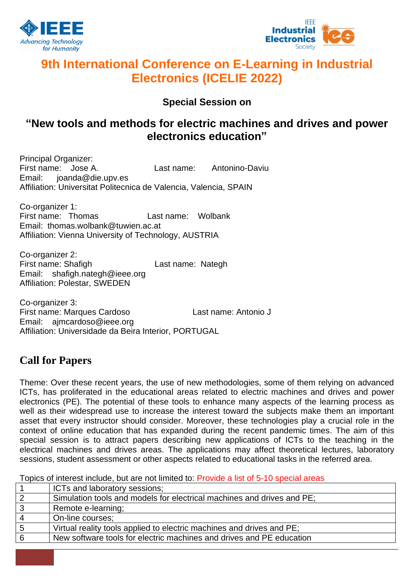



# **9th International Conference on E-Learning in Industrial Electronics (ICELIE 2022)**

**Special Session on**

### **"New tools and methods for electric machines and drives and power electronics education"**

Principal Organizer: First name: Jose A. Last name: Antonino-Daviu Email: joanda@die.upv.es Affiliation: Universitat Politecnica de Valencia, Valencia, SPAIN

Co-organizer 1: First name: Thomas Last name: Wolbank Email: thomas.wolbank@tuwien.ac.at Affiliation: Vienna University of Technology, AUSTRIA

Co-organizer 2: First name: Shafigh Last name: Nategh Email: shafigh.nategh@ieee.org Affiliation: Polestar, SWEDEN

Co-organizer 3: First name: Marques Cardoso Last name: Antonio J Email: ajmcardoso@ieee.org Affiliation: Universidade da Beira Interior, PORTUGAL

## **Call for Papers**

Theme: Over these recent years, the use of new methodologies, some of them relying on advanced ICTs, has proliferated in the educational areas related to electric machines and drives and power electronics (PE). The potential of these tools to enhance many aspects of the learning process as well as their widespread use to increase the interest toward the subjects make them an important asset that every instructor should consider. Moreover, these technologies play a crucial role in the context of online education that has expanded during the recent pandemic times. The aim of this special session is to attract papers describing new applications of ICTs to the teaching in the electrical machines and drives areas. The applications may affect theoretical lectures, laboratory sessions, student assessment or other aspects related to educational tasks in the referred area.

Topics of interest include, but are not limited to: Provide a list of 5-10 special areas

|                | ICTs and laboratory sessions;                                          |
|----------------|------------------------------------------------------------------------|
|                | Simulation tools and models for electrical machines and drives and PE; |
| 3              | Remote e-learning;                                                     |
| $\overline{4}$ | On-line courses;                                                       |
| 5              | Virtual reality tools applied to electric machines and drives and PE;  |
| 6              | New software tools for electric machines and drives and PE education   |
|                |                                                                        |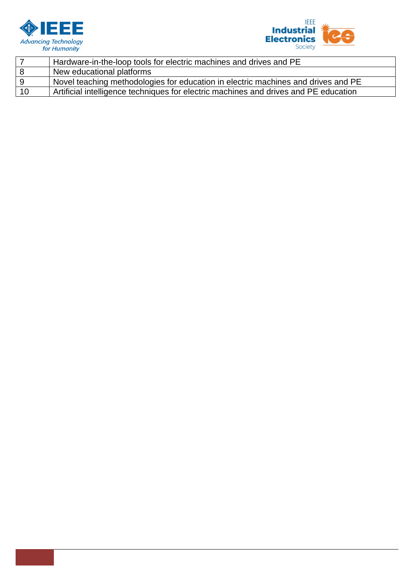



|    | Hardware-in-the-loop tools for electric machines and drives and PE                   |
|----|--------------------------------------------------------------------------------------|
| 8  | New educational platforms                                                            |
| -9 | Novel teaching methodologies for education in electric machines and drives and PE    |
| 10 | Artificial intelligence techniques for electric machines and drives and PE education |